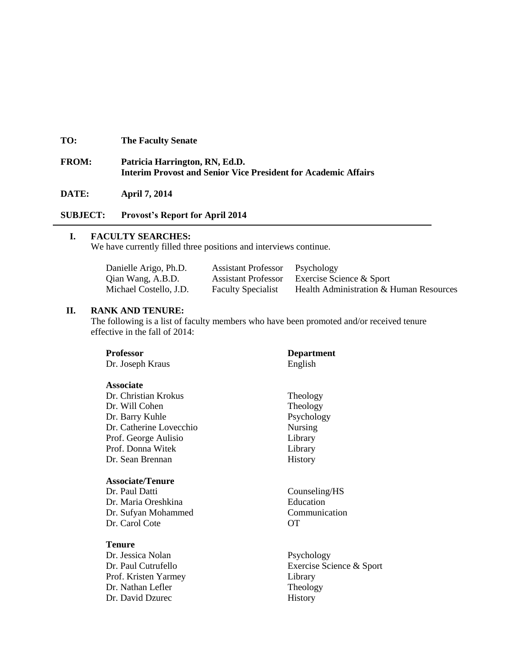## **TO: The Faculty Senate**

## **FROM: Patricia Harrington, RN, Ed.D. Interim Provost and Senior Vice President for Academic Affairs**

#### **DATE: April 7, 2014**

## **SUBJECT: Provost's Report for April 2014**

## **I. FACULTY SEARCHES:**

We have currently filled three positions and interviews continue.

| Danielle Arigo, Ph.D.  | <b>Assistant Professor</b> Psychology |                                         |
|------------------------|---------------------------------------|-----------------------------------------|
| Qian Wang, A.B.D.      | <b>Assistant Professor</b>            | Exercise Science & Sport                |
| Michael Costello, J.D. | <b>Faculty Specialist</b>             | Health Administration & Human Resources |

### **II. RANK AND TENURE:**

The following is a list of faculty members who have been promoted and/or received tenure effective in the fall of 2014:

| <b>Professor</b>        | <b>Department</b>        |
|-------------------------|--------------------------|
| Dr. Joseph Kraus        | English                  |
| <b>Associate</b>        |                          |
| Dr. Christian Krokus    | Theology                 |
| Dr. Will Cohen          | Theology                 |
| Dr. Barry Kuhle         | Psychology               |
| Dr. Catherine Lovecchio | <b>Nursing</b>           |
| Prof. George Aulisio    | Library                  |
| Prof. Donna Witek       | Library                  |
| Dr. Sean Brennan        | History                  |
| <b>Associate/Tenure</b> |                          |
| Dr. Paul Datti          | Counseling/HS            |
| Dr. Maria Oreshkina     | Education                |
| Dr. Sufyan Mohammed     | Communication            |
| Dr. Carol Cote          | OТ                       |
| Tenure                  |                          |
| Dr. Jessica Nolan       | Psychology               |
| Dr. Paul Cutrufello     | Exercise Science & Sport |
| Prof. Kristen Yarmey    | Library                  |
| Dr. Nathan Lefler       | Theology                 |
| Dr. David Dzurec        | History                  |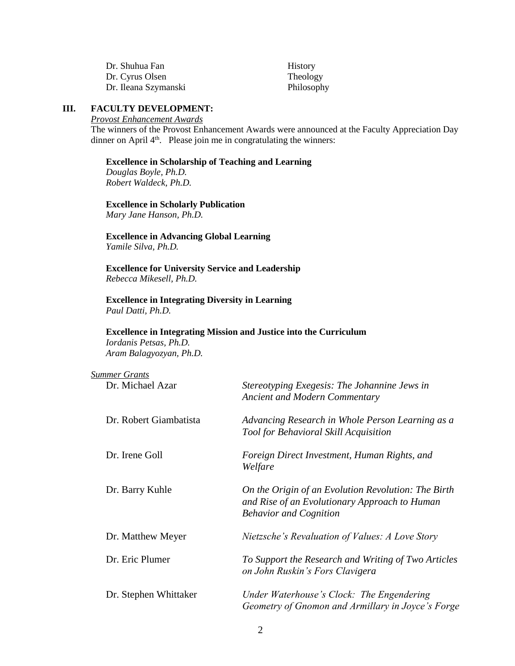| Dr. Shuhua Fan       | History    |
|----------------------|------------|
| Dr. Cyrus Olsen      | Theology   |
| Dr. Ileana Szymanski | Philosophy |

#### **III. FACULTY DEVELOPMENT:**

*Provost Enhancement Awards*

The winners of the Provost Enhancement Awards were announced at the Faculty Appreciation Day dinner on April 4<sup>th</sup>. Please join me in congratulating the winners:

#### **Excellence in Scholarship of Teaching and Learning**

*Douglas Boyle, Ph.D. Robert Waldeck, Ph.D.*

#### **Excellence in Scholarly Publication**

*Mary Jane Hanson, Ph.D.*

**Excellence in Advancing Global Learning** *Yamile Silva, Ph.D.*

**Excellence for University Service and Leadership** *Rebecca Mikesell, Ph.D.*

**Excellence in Integrating Diversity in Learning** *Paul Datti, Ph.D.*

#### **Excellence in Integrating Mission and Justice into the Curriculum** *Iordanis Petsas, Ph.D.*

*Aram Balagyozyan, Ph.D.*

| <b>Summer Grants</b>   |                                                                                                                                       |
|------------------------|---------------------------------------------------------------------------------------------------------------------------------------|
| Dr. Michael Azar       | Stereotyping Exegesis: The Johannine Jews in<br><b>Ancient and Modern Commentary</b>                                                  |
| Dr. Robert Giambatista | Advancing Research in Whole Person Learning as a<br><b>Tool for Behavioral Skill Acquisition</b>                                      |
| Dr. Irene Goll         | Foreign Direct Investment, Human Rights, and<br>Welfare                                                                               |
| Dr. Barry Kuhle        | On the Origin of an Evolution Revolution: The Birth<br>and Rise of an Evolutionary Approach to Human<br><b>Behavior and Cognition</b> |
| Dr. Matthew Meyer      | <i>Nietzsche's Revaluation of Values: A Love Story</i>                                                                                |
| Dr. Eric Plumer        | To Support the Research and Writing of Two Articles<br>on John Ruskin's Fors Clavigera                                                |
| Dr. Stephen Whittaker  | Under Waterhouse's Clock: The Engendering<br>Geometry of Gnomon and Armillary in Joyce's Forge                                        |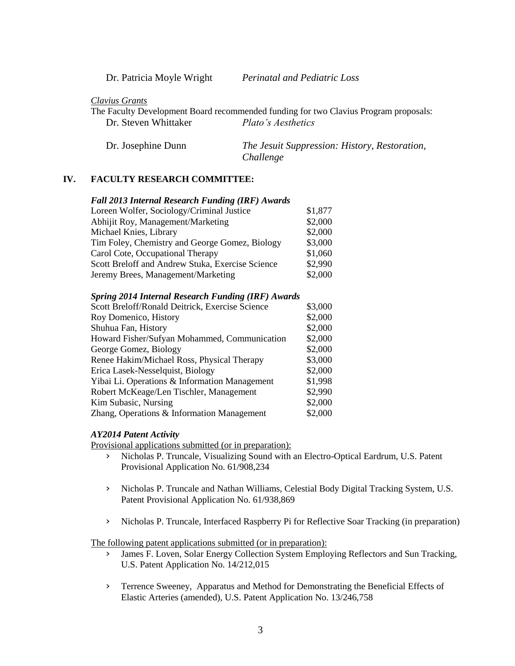| Dr. Patricia Moyle Wright |  |
|---------------------------|--|
|                           |  |

Dr. Patricia Moyle Wright *Perinatal and Pediatric Loss*

*Clavius Grants*

The Faculty Development Board recommended funding for two Clavius Program proposals: Dr. Steven Whittaker *Plato's Aesthetics*

Dr. Josephine Dunn *The Jesuit Suppression: History, Restoration, Challenge*

#### **IV. FACULTY RESEARCH COMMITTEE:**

| <b>Fall 2013 Internal Research Funding (IRF) Awards</b> |  |
|---------------------------------------------------------|--|
|---------------------------------------------------------|--|

| Loreen Wolfer, Sociology/Criminal Justice        | \$1,877 |
|--------------------------------------------------|---------|
| Abhijit Roy, Management/Marketing                | \$2,000 |
| Michael Knies, Library                           | \$2,000 |
| Tim Foley, Chemistry and George Gomez, Biology   | \$3,000 |
| Carol Cote, Occupational Therapy                 | \$1,060 |
| Scott Breloff and Andrew Stuka, Exercise Science | \$2,990 |
| Jeremy Brees, Management/Marketing               | \$2,000 |

#### *Spring 2014 Internal Research Funding (IRF) Awards*

| Scott Breloff/Ronald Deitrick, Exercise Science | \$3,000 |
|-------------------------------------------------|---------|
| Roy Domenico, History                           | \$2,000 |
| Shuhua Fan, History                             | \$2,000 |
| Howard Fisher/Sufyan Mohammed, Communication    | \$2,000 |
| George Gomez, Biology                           | \$2,000 |
| Renee Hakim/Michael Ross, Physical Therapy      | \$3,000 |
| Erica Lasek-Nesselquist, Biology                | \$2,000 |
| Yibai Li. Operations & Information Management   | \$1,998 |
| Robert McKeage/Len Tischler, Management         | \$2,990 |
| Kim Subasic, Nursing                            | \$2,000 |
| Zhang, Operations & Information Management      | \$2,000 |

#### *AY2014 Patent Activity*

Provisional applications submitted (or in preparation):

- › Nicholas P. Truncale, Visualizing Sound with an Electro-Optical Eardrum, U.S. Patent Provisional Application No. 61/908,234
- › Nicholas P. Truncale and Nathan Williams, Celestial Body Digital Tracking System, U.S. Patent Provisional Application No. 61/938,869
- › Nicholas P. Truncale, Interfaced Raspberry Pi for Reflective Soar Tracking (in preparation)

The following patent applications submitted (or in preparation):

- › James F. Loven, Solar Energy Collection System Employing Reflectors and Sun Tracking, U.S. Patent Application No. 14/212,015
- › Terrence Sweeney, Apparatus and Method for Demonstrating the Beneficial Effects of Elastic Arteries (amended), U.S. Patent Application No. 13/246,758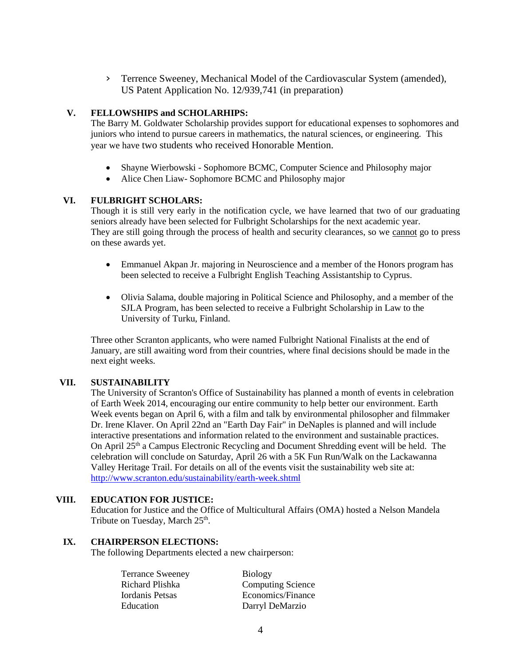› Terrence Sweeney, Mechanical Model of the Cardiovascular System (amended), US Patent Application No. 12/939,741 (in preparation)

## **V. FELLOWSHIPS and SCHOLARHIPS:**

The Barry M. Goldwater Scholarship provides support for educational expenses to sophomores and juniors who intend to pursue careers in mathematics, the natural sciences, or engineering. This year we have two students who received Honorable Mention.

- Shayne Wierbowski Sophomore BCMC, Computer Science and Philosophy major
- Alice Chen Liaw- Sophomore BCMC and Philosophy major

## **VI. FULBRIGHT SCHOLARS:**

Though it is still very early in the notification cycle, we have learned that two of our graduating seniors already have been selected for Fulbright Scholarships for the next academic year. They are still going through the process of health and security clearances, so we cannot go to press on these awards yet.

- Emmanuel Akpan Jr. majoring in Neuroscience and a member of the Honors program has been selected to receive a Fulbright English Teaching Assistantship to Cyprus.
- Olivia Salama, double majoring in Political Science and Philosophy, and a member of the SJLA Program, has been selected to receive a Fulbright Scholarship in Law to the University of Turku, Finland.

Three other Scranton applicants, who were named Fulbright National Finalists at the end of January, are still awaiting word from their countries, where final decisions should be made in the next eight weeks.

## **VII. SUSTAINABILITY**

The University of Scranton's Office of Sustainability has planned a month of events in celebration of Earth Week 2014, encouraging our entire community to help better our environment. Earth Week events began on April 6, with a film and talk by environmental philosopher and filmmaker Dr. Irene Klaver. On April 22nd an "Earth Day Fair" in DeNaples is planned and will include interactive presentations and information related to the environment and sustainable practices. On April  $25<sup>th</sup>$  a Campus Electronic Recycling and Document Shredding event will be held. The celebration will conclude on Saturday, April 26 with a 5K Fun Run/Walk on the Lackawanna Valley Heritage Trail. For details on all of the events visit the sustainability web site at: <http://www.scranton.edu/sustainability/earth-week.shtml>

#### **VIII. EDUCATION FOR JUSTICE:**

Education for Justice and the Office of Multicultural Affairs (OMA) hosted a Nelson Mandela Tribute on Tuesday, March 25<sup>th</sup>.

#### **IX. CHAIRPERSON ELECTIONS:**

The following Departments elected a new chairperson:

| <b>Terrance Sweeney</b> | <b>Biology</b>           |
|-------------------------|--------------------------|
| Richard Plishka         | <b>Computing Science</b> |
| Iordanis Petsas         | Economics/Finance        |
| Education               | Darryl DeMarzio          |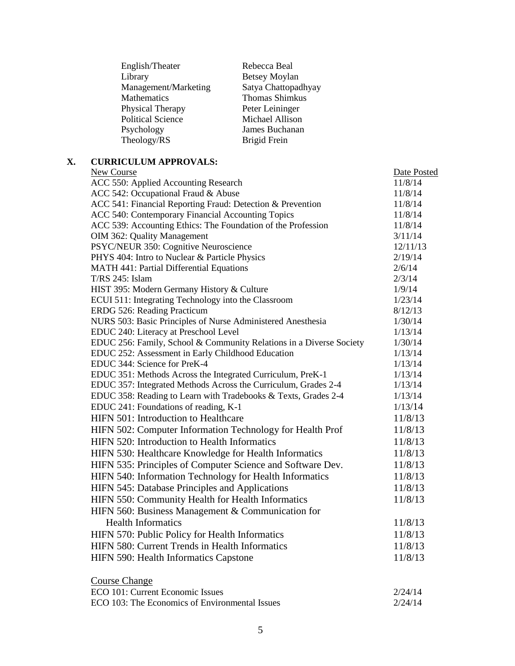| Rebecca Beal         |
|----------------------|
| <b>Betsey Moylan</b> |
| Satya Chattopadhyay  |
| Thomas Shimkus       |
| Peter Leininger      |
| Michael Allison      |
| James Buchanan       |
| Brigid Frein         |
|                      |

# **X. CURRICULUM APPROVALS:**

| New Course                                                          | Date Posted |
|---------------------------------------------------------------------|-------------|
| ACC 550: Applied Accounting Research                                | 11/8/14     |
| ACC 542: Occupational Fraud & Abuse                                 | 11/8/14     |
| ACC 541: Financial Reporting Fraud: Detection & Prevention          | 11/8/14     |
| ACC 540: Contemporary Financial Accounting Topics                   | 11/8/14     |
| ACC 539: Accounting Ethics: The Foundation of the Profession        | 11/8/14     |
| OIM 362: Quality Management                                         | 3/11/14     |
| PSYC/NEUR 350: Cognitive Neuroscience                               | 12/11/13    |
| PHYS 404: Intro to Nuclear & Particle Physics                       | 2/19/14     |
| <b>MATH 441: Partial Differential Equations</b>                     | 2/6/14      |
| T/RS 245: Islam                                                     | 2/3/14      |
| HIST 395: Modern Germany History & Culture                          | 1/9/14      |
| ECUI 511: Integrating Technology into the Classroom                 | 1/23/14     |
| ERDG 526: Reading Practicum                                         | 8/12/13     |
| NURS 503: Basic Principles of Nurse Administered Anesthesia         | 1/30/14     |
| EDUC 240: Literacy at Preschool Level                               | 1/13/14     |
| EDUC 256: Family, School & Community Relations in a Diverse Society | 1/30/14     |
| EDUC 252: Assessment in Early Childhood Education                   | 1/13/14     |
| EDUC 344: Science for PreK-4                                        | 1/13/14     |
| EDUC 351: Methods Across the Integrated Curriculum, PreK-1          | 1/13/14     |
| EDUC 357: Integrated Methods Across the Curriculum, Grades 2-4      | 1/13/14     |
| EDUC 358: Reading to Learn with Tradebooks & Texts, Grades 2-4      | 1/13/14     |
| EDUC 241: Foundations of reading, K-1                               | 1/13/14     |
| HIFN 501: Introduction to Healthcare                                | 11/8/13     |
| HIFN 502: Computer Information Technology for Health Prof           | 11/8/13     |
| HIFN 520: Introduction to Health Informatics                        | 11/8/13     |
| HIFN 530: Healthcare Knowledge for Health Informatics               | 11/8/13     |
| HIFN 535: Principles of Computer Science and Software Dev.          | 11/8/13     |
| HIFN 540: Information Technology for Health Informatics             | 11/8/13     |
| HIFN 545: Database Principles and Applications                      | 11/8/13     |
| HIFN 550: Community Health for Health Informatics                   | 11/8/13     |
| HIFN 560: Business Management & Communication for                   |             |
| <b>Health Informatics</b>                                           | 11/8/13     |
| HIFN 570: Public Policy for Health Informatics                      | 11/8/13     |
| HIFN 580: Current Trends in Health Informatics                      | 11/8/13     |
|                                                                     |             |
| HIFN 590: Health Informatics Capstone                               | 11/8/13     |
| <b>Course Change</b>                                                |             |
| ECO 101: Current Economic Issues                                    | 2/24/14     |
| ECO 103: The Economics of Environmental Issues                      | 2/24/14     |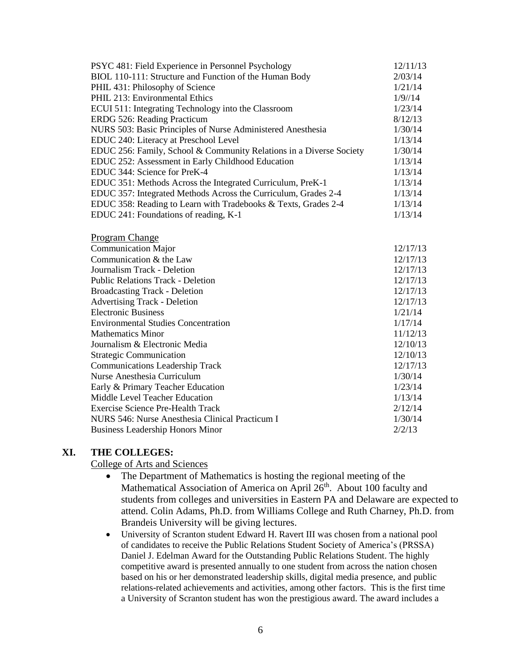| PSYC 481: Field Experience in Personnel Psychology                  | 12/11/13 |
|---------------------------------------------------------------------|----------|
| BIOL 110-111: Structure and Function of the Human Body              | 2/03/14  |
| PHIL 431: Philosophy of Science                                     | 1/21/14  |
| PHIL 213: Environmental Ethics                                      | 1/9/14   |
| ECUI 511: Integrating Technology into the Classroom                 | 1/23/14  |
| ERDG 526: Reading Practicum                                         | 8/12/13  |
| NURS 503: Basic Principles of Nurse Administered Anesthesia         | 1/30/14  |
| EDUC 240: Literacy at Preschool Level                               | 1/13/14  |
| EDUC 256: Family, School & Community Relations in a Diverse Society | 1/30/14  |
| EDUC 252: Assessment in Early Childhood Education                   | 1/13/14  |
| EDUC 344: Science for PreK-4                                        | 1/13/14  |
| EDUC 351: Methods Across the Integrated Curriculum, PreK-1          | 1/13/14  |
| EDUC 357: Integrated Methods Across the Curriculum, Grades 2-4      | 1/13/14  |
| EDUC 358: Reading to Learn with Tradebooks & Texts, Grades 2-4      | 1/13/14  |
| EDUC 241: Foundations of reading, K-1                               | 1/13/14  |
| <b>Program Change</b>                                               |          |
| <b>Communication Major</b>                                          | 12/17/13 |
| Communication & the Law                                             | 12/17/13 |
| Journalism Track - Deletion                                         | 12/17/13 |
| <b>Public Relations Track - Deletion</b>                            | 12/17/13 |
| <b>Broadcasting Track - Deletion</b>                                | 12/17/13 |
| <b>Advertising Track - Deletion</b>                                 | 12/17/13 |
| <b>Electronic Business</b>                                          | 1/21/14  |
| <b>Environmental Studies Concentration</b>                          | 1/17/14  |
| <b>Mathematics Minor</b>                                            | 11/12/13 |
| Journalism & Electronic Media                                       | 12/10/13 |
| <b>Strategic Communication</b>                                      | 12/10/13 |
| <b>Communications Leadership Track</b>                              | 12/17/13 |
| Nurse Anesthesia Curriculum                                         | 1/30/14  |
| Early & Primary Teacher Education                                   | 1/23/14  |
| Middle Level Teacher Education                                      | 1/13/14  |
| <b>Exercise Science Pre-Health Track</b>                            | 2/12/14  |
| NURS 546: Nurse Anesthesia Clinical Practicum I                     | 1/30/14  |
| <b>Business Leadership Honors Minor</b>                             | 2/2/13   |

### **XI. THE COLLEGES:**

### College of Arts and Sciences

- The Department of Mathematics is hosting the regional meeting of the Mathematical Association of America on April 26<sup>th</sup>. About 100 faculty and students from colleges and universities in Eastern PA and Delaware are expected to attend. Colin Adams, Ph.D. from Williams College and Ruth Charney, Ph.D. from Brandeis University will be giving lectures.
- University of Scranton student Edward H. Ravert III was chosen from a national pool of candidates to receive the Public Relations Student Society of America's (PRSSA) Daniel J. Edelman Award for the Outstanding Public Relations Student. The highly competitive award is presented annually to one student from across the nation chosen based on his or her demonstrated leadership skills, digital media presence, and public relations-related achievements and activities, among other factors. This is the first time a University of Scranton student has won the prestigious award. The award includes a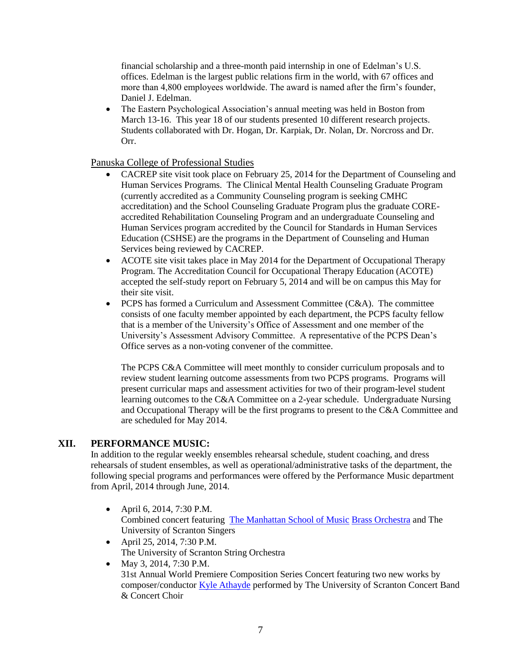financial scholarship and a three-month paid internship in one of Edelman's U.S. offices. Edelman is the largest public relations firm in the world, with 67 offices and more than 4,800 employees worldwide. The award is named after the firm's founder, Daniel J. Edelman.

• The Eastern Psychological Association's annual meeting was held in Boston from March 13-16. This year 18 of our students presented 10 different research projects. Students collaborated with Dr. Hogan, Dr. Karpiak, Dr. Nolan, Dr. Norcross and Dr. Orr.

Panuska College of Professional Studies

- CACREP site visit took place on February 25, 2014 for the Department of Counseling and Human Services Programs. The Clinical Mental Health Counseling Graduate Program (currently accredited as a Community Counseling program is seeking CMHC accreditation) and the School Counseling Graduate Program plus the graduate COREaccredited Rehabilitation Counseling Program and an undergraduate Counseling and Human Services program accredited by the Council for Standards in Human Services Education (CSHSE) are the programs in the Department of Counseling and Human Services being reviewed by CACREP.
- ACOTE site visit takes place in May 2014 for the Department of Occupational Therapy Program. The Accreditation Council for Occupational Therapy Education (ACOTE) accepted the self-study report on February 5, 2014 and will be on campus this May for their site visit.
- PCPS has formed a Curriculum and Assessment Committee (C&A). The committee consists of one faculty member appointed by each department, the PCPS faculty fellow that is a member of the University's Office of Assessment and one member of the University's Assessment Advisory Committee. A representative of the PCPS Dean's Office serves as a non-voting convener of the committee.

The PCPS C&A Committee will meet monthly to consider curriculum proposals and to review student learning outcome assessments from two PCPS programs. Programs will present curricular maps and assessment activities for two of their program-level student learning outcomes to the C&A Committee on a 2-year schedule. Undergraduate Nursing and Occupational Therapy will be the first programs to present to the C&A Committee and are scheduled for May 2014.

## **XII. PERFORMANCE MUSIC:**

In addition to the regular weekly ensembles rehearsal schedule, student coaching, and dress rehearsals of student ensembles, as well as operational/administrative tasks of the department, the following special programs and performances were offered by the Performance Music department from April, 2014 through June, 2014.

- April 6, 2014, 7:30 P.M. Combined concert featuring [The Manhattan School of Music](http://www.msmnyc.edu/) [Brass Orchestra](http://www.msmnyc.edu/Instruction-Faculty/Programs/Ensembles) and The University of Scranton Singers
- April 25, 2014, 7:30 P.M. The University of Scranton String Orchestra
- May 3, 2014, 7:30 P.M. 31st Annual World Premiere Composition Series Concert featuring two new works by composer/conductor [Kyle Athayde](http://newyorktrumpetensemble.com/index.php?page=kyle-athayde) performed by The University of Scranton Concert Band & Concert Choir